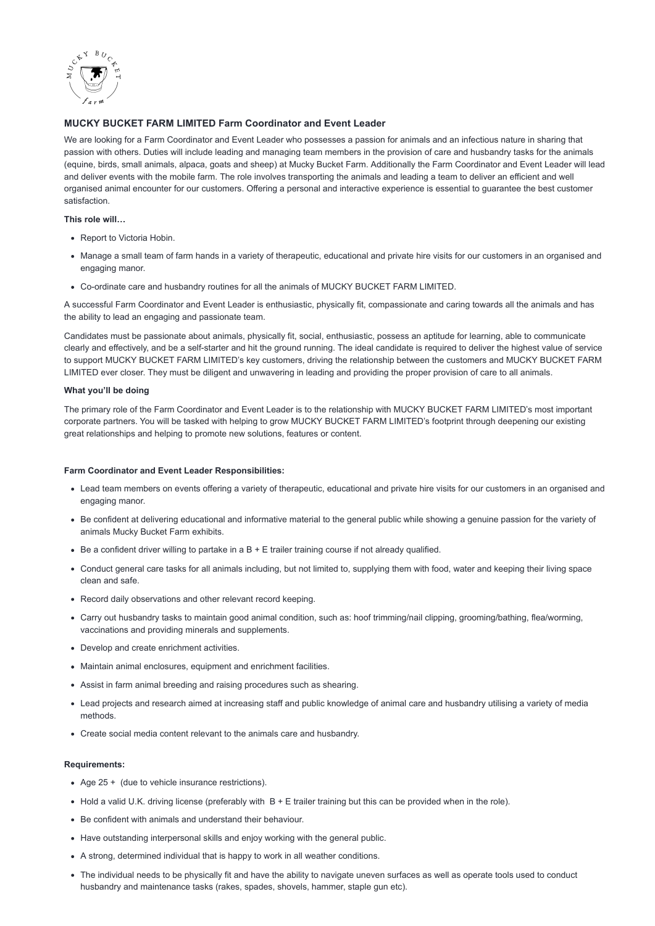

# **MUCKY BUCKET FARM LIMITED Farm Coordinator and Event Leader**

We are looking for a Farm Coordinator and Event Leader who possesses a passion for animals and an infectious nature in sharing that passion with others. Duties will include leading and managing team members in the provision of care and husbandry tasks for the animals (equine, birds, small animals, alpaca, goats and sheep) at Mucky Bucket Farm. Additionally the Farm Coordinator and Event Leader will lead and deliver events with the mobile farm. The role involves transporting the animals and leading a team to deliver an efficient and well organised animal encounter for our customers. Offering a personal and interactive experience is essential to guarantee the best customer satisfaction.

## **This role will…**

- Report to Victoria Hobin.
- Manage a small team of farm hands in a variety of therapeutic, educational and private hire visits for our customers in an organised and engaging manor.
- Co-ordinate care and husbandry routines for all the animals of MUCKY BUCKET FARM LIMITED.

A successful Farm Coordinator and Event Leader is enthusiastic, physically fit, compassionate and caring towards all the animals and has the ability to lead an engaging and passionate team.

Candidates must be passionate about animals, physically fit, social, enthusiastic, possess an aptitude for learning, able to communicate clearly and effectively, and be a self-starter and hit the ground running. The ideal candidate is required to deliver the highest value of service to support MUCKY BUCKET FARM LIMITED's key customers, driving the relationship between the customers and MUCKY BUCKET FARM LIMITED ever closer. They must be diligent and unwavering in leading and providing the proper provision of care to all animals.

## **What you'll be doing**

The primary role of the Farm Coordinator and Event Leader is to the relationship with MUCKY BUCKET FARM LIMITED's most important corporate partners. You will be tasked with helping to grow MUCKY BUCKET FARM LIMITED's footprint through deepening our existing great relationships and helping to promote new solutions, features or content.

## **Farm Coordinator and Event Leader Responsibilities:**

- Lead team members on events offering a variety of therapeutic, educational and private hire visits for our customers in an organised and engaging manor.
- Be confident at delivering educational and informative material to the general public while showing a genuine passion for the variety of animals Mucky Bucket Farm exhibits.
- Be a confident driver willing to partake in a  $B + E$  trailer training course if not already qualified.
- Conduct general care tasks for all animals including, but not limited to, supplying them with food, water and keeping their living space clean and safe.
- Record daily observations and other relevant record keeping.
- Carry out husbandry tasks to maintain good animal condition, such as: hoof trimming/nail clipping, grooming/bathing, flea/worming, vaccinations and providing minerals and supplements.
- Develop and create enrichment activities.
- Maintain animal enclosures, equipment and enrichment facilities.
- Assist in farm animal breeding and raising procedures such as shearing.
- Lead projects and research aimed at increasing staff and public knowledge of animal care and husbandry utilising a variety of media methods.
- Create social media content relevant to the animals care and husbandry.

#### **Requirements:**

- Age 25 + (due to vehicle insurance restrictions).
- $\bullet$  Hold a valid U.K. driving license (preferably with  $B + E$  trailer training but this can be provided when in the role).
- Be confident with animals and understand their behaviour.
- Have outstanding interpersonal skills and enjoy working with the general public.
- A strong, determined individual that is happy to work in all weather conditions.
- The individual needs to be physically fit and have the ability to navigate uneven surfaces as well as operate tools used to conduct husbandry and maintenance tasks (rakes, spades, shovels, hammer, staple gun etc).